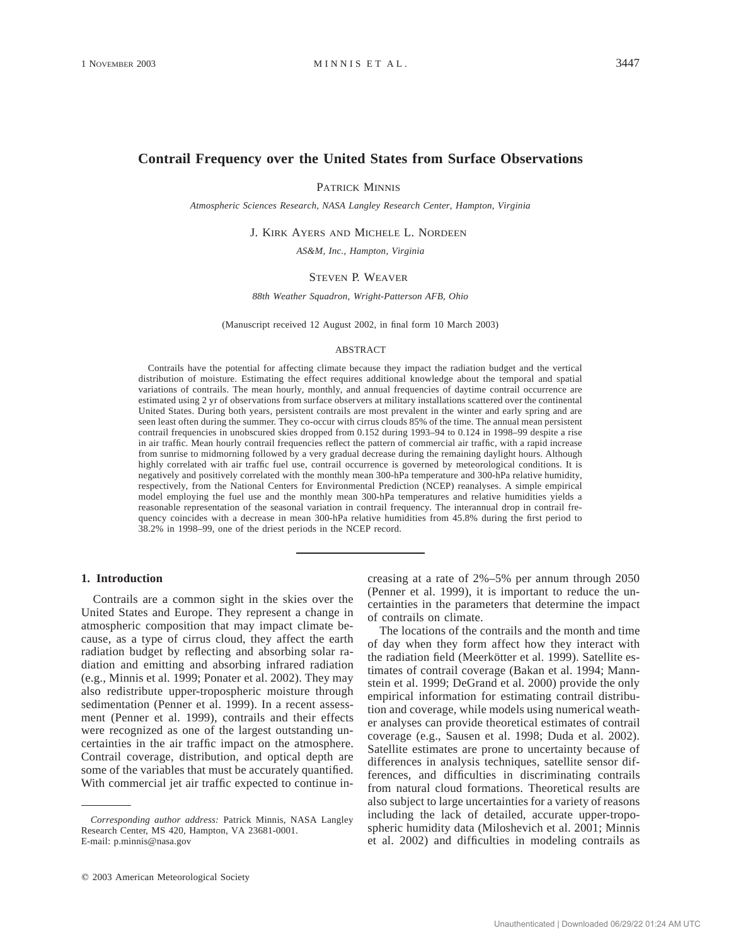# **Contrail Frequency over the United States from Surface Observations**

PATRICK MINNIS

*Atmospheric Sciences Research, NASA Langley Research Center, Hampton, Virginia*

J. KIRK AYERS AND MICHELE L. NORDEEN

*AS&M, Inc., Hampton, Virginia*

### STEVEN P. WEAVER

*88th Weather Squadron, Wright-Patterson AFB, Ohio*

(Manuscript received 12 August 2002, in final form 10 March 2003)

#### ABSTRACT

Contrails have the potential for affecting climate because they impact the radiation budget and the vertical distribution of moisture. Estimating the effect requires additional knowledge about the temporal and spatial variations of contrails. The mean hourly, monthly, and annual frequencies of daytime contrail occurrence are estimated using 2 yr of observations from surface observers at military installations scattered over the continental United States. During both years, persistent contrails are most prevalent in the winter and early spring and are seen least often during the summer. They co-occur with cirrus clouds 85% of the time. The annual mean persistent contrail frequencies in unobscured skies dropped from 0.152 during 1993–94 to 0.124 in 1998–99 despite a rise in air traffic. Mean hourly contrail frequencies reflect the pattern of commercial air traffic, with a rapid increase from sunrise to midmorning followed by a very gradual decrease during the remaining daylight hours. Although highly correlated with air traffic fuel use, contrail occurrence is governed by meteorological conditions. It is negatively and positively correlated with the monthly mean 300-hPa temperature and 300-hPa relative humidity, respectively, from the National Centers for Environmental Prediction (NCEP) reanalyses. A simple empirical model employing the fuel use and the monthly mean 300-hPa temperatures and relative humidities yields a reasonable representation of the seasonal variation in contrail frequency. The interannual drop in contrail frequency coincides with a decrease in mean 300-hPa relative humidities from 45.8% during the first period to 38.2% in 1998–99, one of the driest periods in the NCEP record.

### **1. Introduction**

Contrails are a common sight in the skies over the United States and Europe. They represent a change in atmospheric composition that may impact climate because, as a type of cirrus cloud, they affect the earth radiation budget by reflecting and absorbing solar radiation and emitting and absorbing infrared radiation (e.g., Minnis et al. 1999; Ponater et al. 2002). They may also redistribute upper-tropospheric moisture through sedimentation (Penner et al. 1999). In a recent assessment (Penner et al. 1999), contrails and their effects were recognized as one of the largest outstanding uncertainties in the air traffic impact on the atmosphere. Contrail coverage, distribution, and optical depth are some of the variables that must be accurately quantified. With commercial jet air traffic expected to continue increasing at a rate of 2%–5% per annum through 2050 (Penner et al. 1999), it is important to reduce the uncertainties in the parameters that determine the impact of contrails on climate.

The locations of the contrails and the month and time of day when they form affect how they interact with the radiation field (Meerkötter et al. 1999). Satellite estimates of contrail coverage (Bakan et al. 1994; Mannstein et al. 1999; DeGrand et al. 2000) provide the only empirical information for estimating contrail distribution and coverage, while models using numerical weather analyses can provide theoretical estimates of contrail coverage (e.g., Sausen et al. 1998; Duda et al. 2002). Satellite estimates are prone to uncertainty because of differences in analysis techniques, satellite sensor differences, and difficulties in discriminating contrails from natural cloud formations. Theoretical results are also subject to large uncertainties for a variety of reasons including the lack of detailed, accurate upper-tropospheric humidity data (Miloshevich et al. 2001; Minnis et al. 2002) and difficulties in modeling contrails as

*Corresponding author address:* Patrick Minnis, NASA Langley Research Center, MS 420, Hampton, VA 23681-0001. E-mail: p.minnis@nasa.gov

 $Q$  2003 American Meteorological Society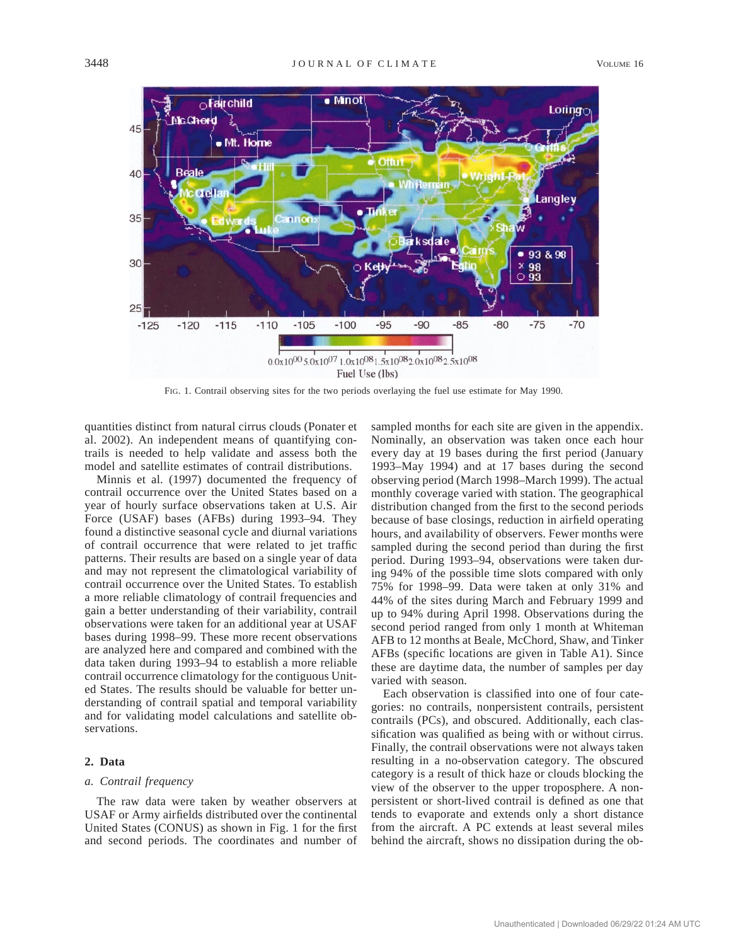

FIG. 1. Contrail observing sites for the two periods overlaying the fuel use estimate for May 1990.

quantities distinct from natural cirrus clouds (Ponater et al. 2002). An independent means of quantifying contrails is needed to help validate and assess both the model and satellite estimates of contrail distributions.

Minnis et al. (1997) documented the frequency of contrail occurrence over the United States based on a year of hourly surface observations taken at U.S. Air Force (USAF) bases (AFBs) during 1993–94. They found a distinctive seasonal cycle and diurnal variations of contrail occurrence that were related to jet traffic patterns. Their results are based on a single year of data and may not represent the climatological variability of contrail occurrence over the United States. To establish a more reliable climatology of contrail frequencies and gain a better understanding of their variability, contrail observations were taken for an additional year at USAF bases during 1998–99. These more recent observations are analyzed here and compared and combined with the data taken during 1993–94 to establish a more reliable contrail occurrence climatology for the contiguous United States. The results should be valuable for better understanding of contrail spatial and temporal variability and for validating model calculations and satellite observations.

## **2. Data**

## *a. Contrail frequency*

The raw data were taken by weather observers at USAF or Army airfields distributed over the continental United States (CONUS) as shown in Fig. 1 for the first and second periods. The coordinates and number of

sampled months for each site are given in the appendix. Nominally, an observation was taken once each hour every day at 19 bases during the first period (January 1993–May 1994) and at 17 bases during the second observing period (March 1998–March 1999). The actual monthly coverage varied with station. The geographical distribution changed from the first to the second periods because of base closings, reduction in airfield operating hours, and availability of observers. Fewer months were sampled during the second period than during the first period. During 1993–94, observations were taken during 94% of the possible time slots compared with only 75% for 1998–99. Data were taken at only 31% and 44% of the sites during March and February 1999 and up to 94% during April 1998. Observations during the second period ranged from only 1 month at Whiteman AFB to 12 months at Beale, McChord, Shaw, and Tinker AFBs (specific locations are given in Table A1). Since these are daytime data, the number of samples per day varied with season.

Each observation is classified into one of four categories: no contrails, nonpersistent contrails, persistent contrails (PCs), and obscured. Additionally, each classification was qualified as being with or without cirrus. Finally, the contrail observations were not always taken resulting in a no-observation category. The obscured category is a result of thick haze or clouds blocking the view of the observer to the upper troposphere. A nonpersistent or short-lived contrail is defined as one that tends to evaporate and extends only a short distance from the aircraft. A PC extends at least several miles behind the aircraft, shows no dissipation during the ob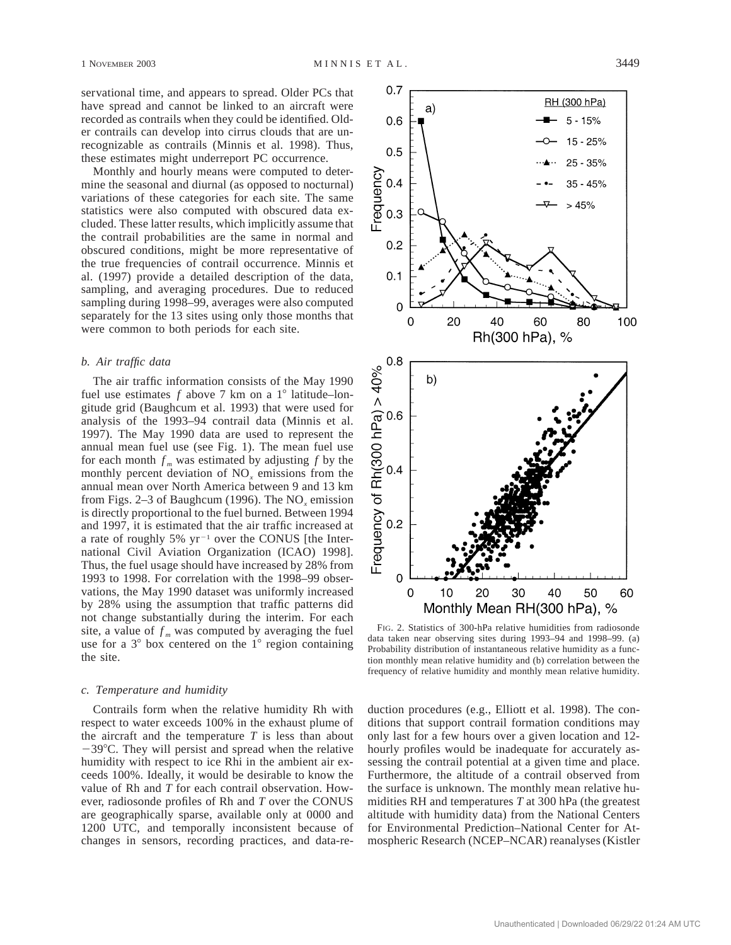servational time, and appears to spread. Older PCs that have spread and cannot be linked to an aircraft were recorded as contrails when they could be identified. Older contrails can develop into cirrus clouds that are unrecognizable as contrails (Minnis et al. 1998). Thus, these estimates might underreport PC occurrence.

Monthly and hourly means were computed to determine the seasonal and diurnal (as opposed to nocturnal) variations of these categories for each site. The same statistics were also computed with obscured data excluded. These latter results, which implicitly assume that the contrail probabilities are the same in normal and obscured conditions, might be more representative of the true frequencies of contrail occurrence. Minnis et al. (1997) provide a detailed description of the data, sampling, and averaging procedures. Due to reduced sampling during 1998–99, averages were also computed separately for the 13 sites using only those months that were common to both periods for each site.

### *b. Air traffic data*

The air traffic information consists of the May 1990 fuel use estimates  $f$  above  $7 \text{ km}$  on a  $1^\circ$  latitude–longitude grid (Baughcum et al. 1993) that were used for analysis of the 1993–94 contrail data (Minnis et al. 1997). The May 1990 data are used to represent the annual mean fuel use (see Fig. 1). The mean fuel use for each month  $f_m$  was estimated by adjusting  $f$  by the monthly percent deviation of NO*<sup>x</sup>* emissions from the annual mean over North America between 9 and 13 km from Figs. 2–3 of Baughcum (1996). The NO<sub>x</sub> emission is directly proportional to the fuel burned. Between 1994 and 1997, it is estimated that the air traffic increased at a rate of roughly 5%  $yr^{-1}$  over the CONUS [the International Civil Aviation Organization (ICAO) 1998]. Thus, the fuel usage should have increased by 28% from 1993 to 1998. For correlation with the 1998–99 observations, the May 1990 dataset was uniformly increased by 28% using the assumption that traffic patterns did not change substantially during the interim. For each site, a value of  $f_m$  was computed by averaging the fuel use for a  $3^\circ$  box centered on the  $1^\circ$  region containing the site.

## *c. Temperature and humidity*

Contrails form when the relative humidity Rh with respect to water exceeds 100% in the exhaust plume of the aircraft and the temperature *T* is less than about  $-39^{\circ}$ C. They will persist and spread when the relative humidity with respect to ice Rhi in the ambient air exceeds 100%. Ideally, it would be desirable to know the value of Rh and *T* for each contrail observation. However, radiosonde profiles of Rh and *T* over the CONUS are geographically sparse, available only at 0000 and 1200 UTC, and temporally inconsistent because of changes in sensors, recording practices, and data-re-



FIG. 2. Statistics of 300-hPa relative humidities from radiosonde data taken near observing sites during 1993–94 and 1998–99. (a) Probability distribution of instantaneous relative humidity as a function monthly mean relative humidity and (b) correlation between the frequency of relative humidity and monthly mean relative humidity.

duction procedures (e.g., Elliott et al. 1998). The conditions that support contrail formation conditions may only last for a few hours over a given location and 12 hourly profiles would be inadequate for accurately assessing the contrail potential at a given time and place. Furthermore, the altitude of a contrail observed from the surface is unknown. The monthly mean relative humidities RH and temperatures *T* at 300 hPa (the greatest altitude with humidity data) from the National Centers for Environmental Prediction–National Center for Atmospheric Research (NCEP–NCAR) reanalyses (Kistler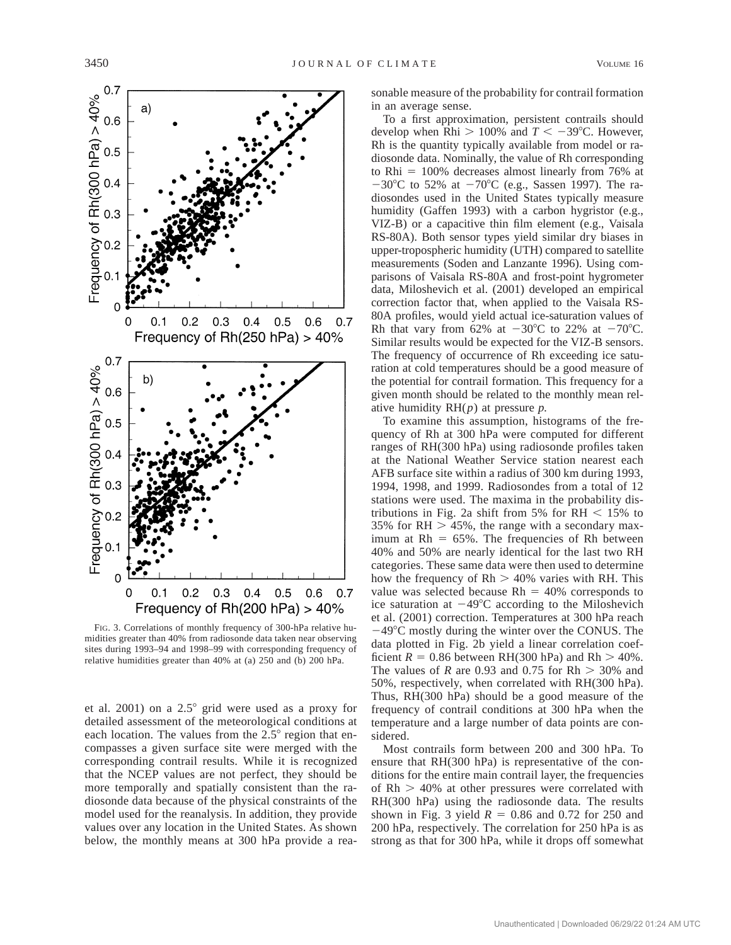

FIG. 3. Correlations of monthly frequency of 300-hPa relative humidities greater than 40% from radiosonde data taken near observing sites during 1993–94 and 1998–99 with corresponding frequency of relative humidities greater than 40% at (a) 250 and (b) 200 hPa.

et al. 2001) on a  $2.5^{\circ}$  grid were used as a proxy for detailed assessment of the meteorological conditions at each location. The values from the  $2.5^{\circ}$  region that encompasses a given surface site were merged with the corresponding contrail results. While it is recognized that the NCEP values are not perfect, they should be more temporally and spatially consistent than the radiosonde data because of the physical constraints of the model used for the reanalysis. In addition, they provide values over any location in the United States. As shown below, the monthly means at 300 hPa provide a rea-

sonable measure of the probability for contrail formation in an average sense.

To a first approximation, persistent contrails should develop when Rhi  $> 100\%$  and  $T < -39\degree$ C. However, Rh is the quantity typically available from model or radiosonde data. Nominally, the value of Rh corresponding to Rhi =  $100\%$  decreases almost linearly from 76% at  $-30^{\circ}$ C to 52% at  $-70^{\circ}$ C (e.g., Sassen 1997). The radiosondes used in the United States typically measure humidity (Gaffen 1993) with a carbon hygristor (e.g., VIZ-B) or a capacitive thin film element (e.g., Vaisala RS-80A). Both sensor types yield similar dry biases in upper-tropospheric humidity (UTH) compared to satellite measurements (Soden and Lanzante 1996). Using comparisons of Vaisala RS-80A and frost-point hygrometer data, Miloshevich et al. (2001) developed an empirical correction factor that, when applied to the Vaisala RS-80A profiles, would yield actual ice-saturation values of Rh that vary from 62% at  $-30^{\circ}$ C to 22% at  $-70^{\circ}$ C. Similar results would be expected for the VIZ-B sensors. The frequency of occurrence of Rh exceeding ice saturation at cold temperatures should be a good measure of the potential for contrail formation. This frequency for a given month should be related to the monthly mean relative humidity RH(*p*) at pressure *p.*

To examine this assumption, histograms of the frequency of Rh at 300 hPa were computed for different ranges of RH(300 hPa) using radiosonde profiles taken at the National Weather Service station nearest each AFB surface site within a radius of 300 km during 1993, 1994, 1998, and 1999. Radiosondes from a total of 12 stations were used. The maxima in the probability distributions in Fig. 2a shift from 5% for RH  $<$  15% to 35% for  $RH > 45%$ , the range with a secondary maximum at  $Rh = 65\%$ . The frequencies of Rh between 40% and 50% are nearly identical for the last two RH categories. These same data were then used to determine how the frequency of  $Rh > 40\%$  varies with RH. This value was selected because  $Rh = 40%$  corresponds to ice saturation at  $-49^{\circ}$ C according to the Miloshevich et al. (2001) correction. Temperatures at 300 hPa reach  $-49^{\circ}$ C mostly during the winter over the CONUS. The data plotted in Fig. 2b yield a linear correlation coefficient  $R = 0.86$  between RH(300 hPa) and Rh  $> 40\%$ . The values of *R* are 0.93 and 0.75 for Rh  $>$  30% and 50%, respectively, when correlated with RH(300 hPa). Thus, RH(300 hPa) should be a good measure of the frequency of contrail conditions at 300 hPa when the temperature and a large number of data points are considered.

Most contrails form between 200 and 300 hPa. To ensure that RH(300 hPa) is representative of the conditions for the entire main contrail layer, the frequencies of  $Rh > 40\%$  at other pressures were correlated with RH(300 hPa) using the radiosonde data. The results shown in Fig. 3 yield  $R = 0.86$  and 0.72 for 250 and 200 hPa, respectively. The correlation for 250 hPa is as strong as that for 300 hPa, while it drops off somewhat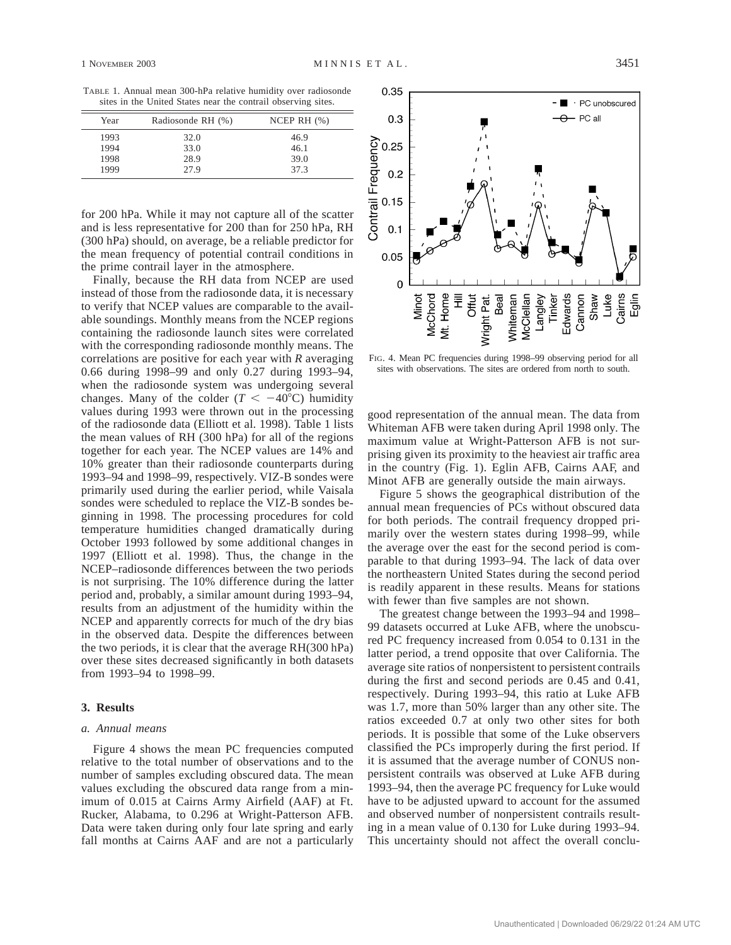TABLE 1. Annual mean 300-hPa relative humidity over radiosonde sites in the United States near the contrail observing sites.

| Year | Radiosonde RH (%) | NCEP RH $(%)$ |
|------|-------------------|---------------|
| 1993 | 32.0              | 46.9          |
| 1994 | 33.0              | 46.1          |
| 1998 | 28.9              | 39.0          |
| 1999 | 27.9              | 37.3          |

for 200 hPa. While it may not capture all of the scatter and is less representative for 200 than for 250 hPa, RH (300 hPa) should, on average, be a reliable predictor for the mean frequency of potential contrail conditions in the prime contrail layer in the atmosphere.

Finally, because the RH data from NCEP are used instead of those from the radiosonde data, it is necessary to verify that NCEP values are comparable to the available soundings. Monthly means from the NCEP regions containing the radiosonde launch sites were correlated with the corresponding radiosonde monthly means. The correlations are positive for each year with *R* averaging 0.66 during 1998–99 and only 0.27 during 1993–94, when the radiosonde system was undergoing several changes. Many of the colder  $(T < -40^{\circ}C)$  humidity values during 1993 were thrown out in the processing of the radiosonde data (Elliott et al. 1998). Table 1 lists the mean values of RH (300 hPa) for all of the regions together for each year. The NCEP values are 14% and 10% greater than their radiosonde counterparts during 1993–94 and 1998–99, respectively. VIZ-B sondes were primarily used during the earlier period, while Vaisala sondes were scheduled to replace the VIZ-B sondes beginning in 1998. The processing procedures for cold temperature humidities changed dramatically during October 1993 followed by some additional changes in 1997 (Elliott et al. 1998). Thus, the change in the NCEP–radiosonde differences between the two periods is not surprising. The 10% difference during the latter period and, probably, a similar amount during 1993–94, results from an adjustment of the humidity within the NCEP and apparently corrects for much of the dry bias in the observed data. Despite the differences between the two periods, it is clear that the average RH(300 hPa) over these sites decreased significantly in both datasets from 1993–94 to 1998–99.

### **3. Results**

### *a. Annual means*

Figure 4 shows the mean PC frequencies computed relative to the total number of observations and to the number of samples excluding obscured data. The mean values excluding the obscured data range from a minimum of 0.015 at Cairns Army Airfield (AAF) at Ft. Rucker, Alabama, to 0.296 at Wright-Patterson AFB. Data were taken during only four late spring and early fall months at Cairns AAF and are not a particularly



FIG. 4. Mean PC frequencies during 1998–99 observing period for all sites with observations. The sites are ordered from north to south.

good representation of the annual mean. The data from Whiteman AFB were taken during April 1998 only. The maximum value at Wright-Patterson AFB is not surprising given its proximity to the heaviest air traffic area in the country (Fig. 1). Eglin AFB, Cairns AAF, and Minot AFB are generally outside the main airways.

Figure 5 shows the geographical distribution of the annual mean frequencies of PCs without obscured data for both periods. The contrail frequency dropped primarily over the western states during 1998–99, while the average over the east for the second period is comparable to that during 1993–94. The lack of data over the northeastern United States during the second period is readily apparent in these results. Means for stations with fewer than five samples are not shown.

The greatest change between the 1993–94 and 1998– 99 datasets occurred at Luke AFB, where the unobscured PC frequency increased from 0.054 to 0.131 in the latter period, a trend opposite that over California. The average site ratios of nonpersistent to persistent contrails during the first and second periods are 0.45 and 0.41, respectively. During 1993–94, this ratio at Luke AFB was 1.7, more than 50% larger than any other site. The ratios exceeded 0.7 at only two other sites for both periods. It is possible that some of the Luke observers classified the PCs improperly during the first period. If it is assumed that the average number of CONUS nonpersistent contrails was observed at Luke AFB during 1993–94, then the average PC frequency for Luke would have to be adjusted upward to account for the assumed and observed number of nonpersistent contrails resulting in a mean value of 0.130 for Luke during 1993–94. This uncertainty should not affect the overall conclu-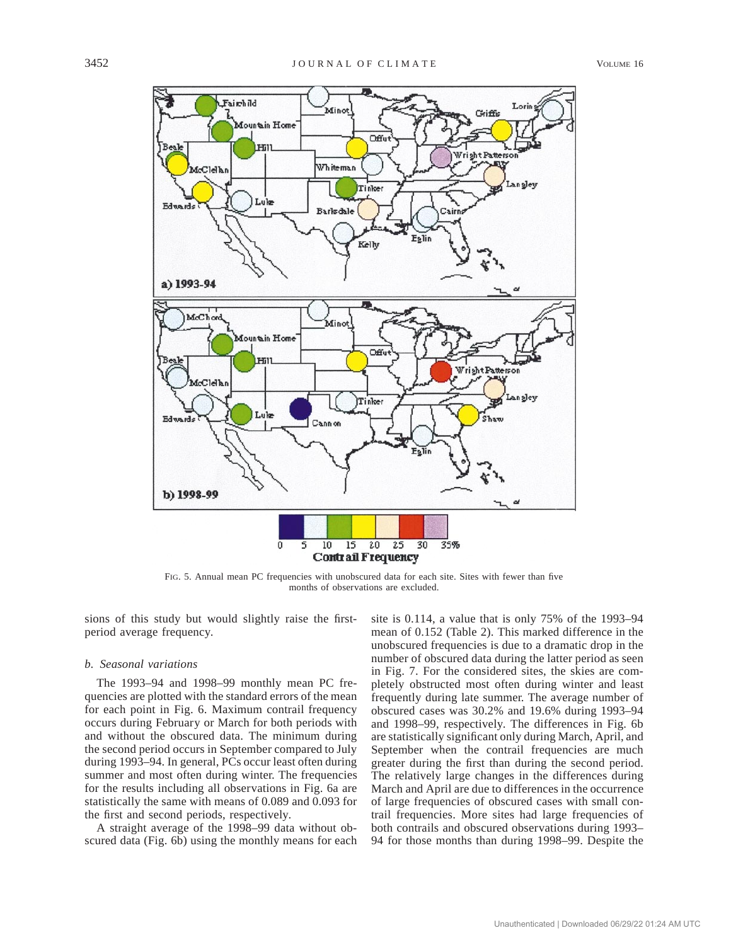

FIG. 5. Annual mean PC frequencies with unobscured data for each site. Sites with fewer than five months of observations are excluded.

sions of this study but would slightly raise the firstperiod average frequency.

### *b. Seasonal variations*

The 1993–94 and 1998–99 monthly mean PC frequencies are plotted with the standard errors of the mean for each point in Fig. 6. Maximum contrail frequency occurs during February or March for both periods with and without the obscured data. The minimum during the second period occurs in September compared to July during 1993–94. In general, PCs occur least often during summer and most often during winter. The frequencies for the results including all observations in Fig. 6a are statistically the same with means of 0.089 and 0.093 for the first and second periods, respectively.

A straight average of the 1998–99 data without obscured data (Fig. 6b) using the monthly means for each site is 0.114, a value that is only 75% of the 1993–94 mean of 0.152 (Table 2). This marked difference in the unobscured frequencies is due to a dramatic drop in the number of obscured data during the latter period as seen in Fig. 7. For the considered sites, the skies are completely obstructed most often during winter and least frequently during late summer. The average number of obscured cases was 30.2% and 19.6% during 1993–94 and 1998–99, respectively. The differences in Fig. 6b are statistically significant only during March, April, and September when the contrail frequencies are much greater during the first than during the second period. The relatively large changes in the differences during March and April are due to differences in the occurrence of large frequencies of obscured cases with small contrail frequencies. More sites had large frequencies of both contrails and obscured observations during 1993– 94 for those months than during 1998–99. Despite the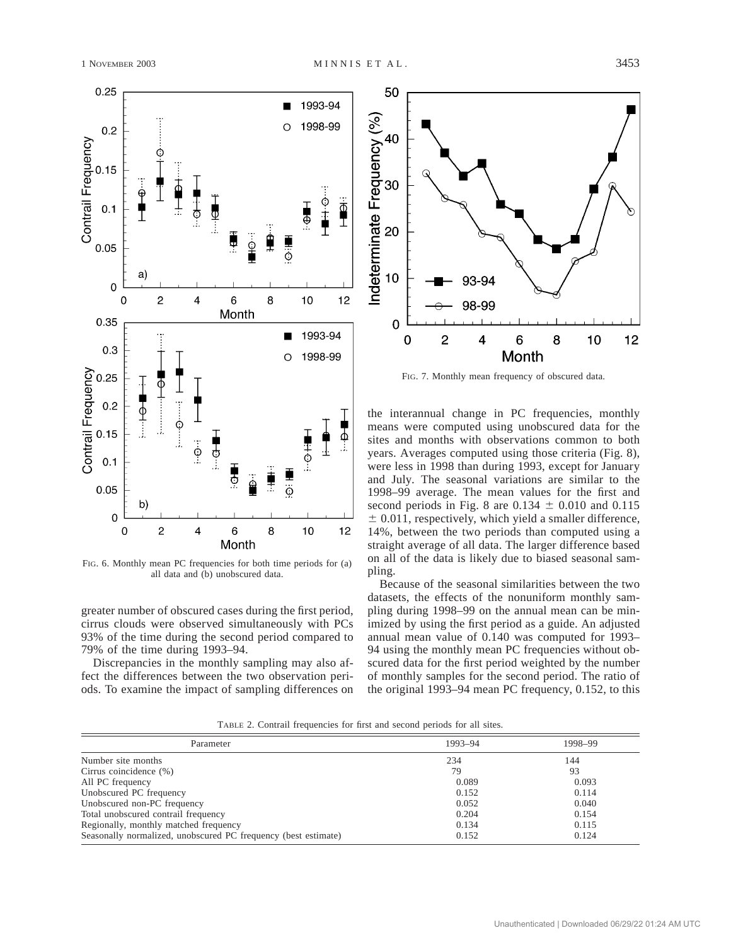

FIG. 6. Monthly mean PC frequencies for both time periods for (a) all data and (b) unobscured data.

greater number of obscured cases during the first period, cirrus clouds were observed simultaneously with PCs 93% of the time during the second period compared to 79% of the time during 1993–94.

Discrepancies in the monthly sampling may also affect the differences between the two observation periods. To examine the impact of sampling differences on



FIG. 7. Monthly mean frequency of obscured data.

the interannual change in PC frequencies, monthly means were computed using unobscured data for the sites and months with observations common to both years. Averages computed using those criteria (Fig. 8), were less in 1998 than during 1993, except for January and July. The seasonal variations are similar to the 1998–99 average. The mean values for the first and second periods in Fig. 8 are  $0.134 \pm 0.010$  and  $0.115$  $\pm$  0.011, respectively, which yield a smaller difference, 14%, between the two periods than computed using a straight average of all data. The larger difference based on all of the data is likely due to biased seasonal sampling.

Because of the seasonal similarities between the two datasets, the effects of the nonuniform monthly sampling during 1998–99 on the annual mean can be minimized by using the first period as a guide. An adjusted annual mean value of 0.140 was computed for 1993– 94 using the monthly mean PC frequencies without obscured data for the first period weighted by the number of monthly samples for the second period. The ratio of the original 1993–94 mean PC frequency, 0.152, to this

TABLE 2. Contrail frequencies for first and second periods for all sites.

| Parameter                                                      | 1993-94 | 1998-99 |
|----------------------------------------------------------------|---------|---------|
| Number site months                                             | 234     | 144     |
| Cirrus coincidence (%)                                         | 79      | 93      |
| All PC frequency                                               | 0.089   | 0.093   |
| Unobscured PC frequency                                        | 0.152   | 0.114   |
| Unobscured non-PC frequency                                    | 0.052   | 0.040   |
| Total unobscured contrail frequency                            | 0.204   | 0.154   |
| Regionally, monthly matched frequency                          | 0.134   | 0.115   |
| Seasonally normalized, unobscured PC frequency (best estimate) | 0.152   | 0.124   |
|                                                                |         |         |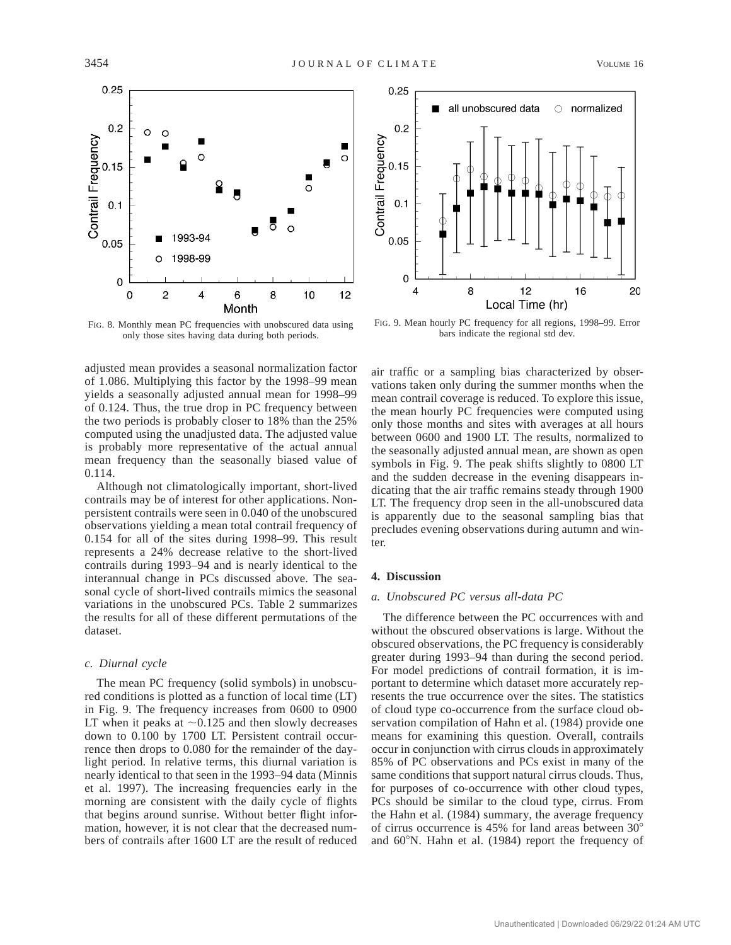

FIG. 8. Monthly mean PC frequencies with unobscured data using only those sites having data during both periods.

adjusted mean provides a seasonal normalization factor of 1.086. Multiplying this factor by the 1998–99 mean yields a seasonally adjusted annual mean for 1998–99 of 0.124. Thus, the true drop in PC frequency between the two periods is probably closer to 18% than the 25% computed using the unadjusted data. The adjusted value is probably more representative of the actual annual mean frequency than the seasonally biased value of 0.114.

Although not climatologically important, short-lived contrails may be of interest for other applications. Nonpersistent contrails were seen in 0.040 of the unobscured observations yielding a mean total contrail frequency of 0.154 for all of the sites during 1998–99. This result represents a 24% decrease relative to the short-lived contrails during 1993–94 and is nearly identical to the interannual change in PCs discussed above. The seasonal cycle of short-lived contrails mimics the seasonal variations in the unobscured PCs. Table 2 summarizes the results for all of these different permutations of the dataset.

#### *c. Diurnal cycle*

The mean PC frequency (solid symbols) in unobscured conditions is plotted as a function of local time (LT) in Fig. 9. The frequency increases from 0600 to 0900 LT when it peaks at  $\sim 0.125$  and then slowly decreases down to 0.100 by 1700 LT. Persistent contrail occurrence then drops to 0.080 for the remainder of the daylight period. In relative terms, this diurnal variation is nearly identical to that seen in the 1993–94 data (Minnis et al. 1997). The increasing frequencies early in the morning are consistent with the daily cycle of flights that begins around sunrise. Without better flight information, however, it is not clear that the decreased numbers of contrails after 1600 LT are the result of reduced



FIG. 9. Mean hourly PC frequency for all regions, 1998–99. Error bars indicate the regional std dev.

air traffic or a sampling bias characterized by observations taken only during the summer months when the mean contrail coverage is reduced. To explore this issue, the mean hourly PC frequencies were computed using only those months and sites with averages at all hours between 0600 and 1900 LT. The results, normalized to the seasonally adjusted annual mean, are shown as open symbols in Fig. 9. The peak shifts slightly to 0800 LT and the sudden decrease in the evening disappears indicating that the air traffic remains steady through 1900 LT. The frequency drop seen in the all-unobscured data is apparently due to the seasonal sampling bias that precludes evening observations during autumn and winter.

### **4. Discussion**

# *a. Unobscured PC versus all-data PC*

The difference between the PC occurrences with and without the obscured observations is large. Without the obscured observations, the PC frequency is considerably greater during 1993–94 than during the second period. For model predictions of contrail formation, it is important to determine which dataset more accurately represents the true occurrence over the sites. The statistics of cloud type co-occurrence from the surface cloud observation compilation of Hahn et al. (1984) provide one means for examining this question. Overall, contrails occur in conjunction with cirrus clouds in approximately 85% of PC observations and PCs exist in many of the same conditions that support natural cirrus clouds. Thus, for purposes of co-occurrence with other cloud types, PCs should be similar to the cloud type, cirrus. From the Hahn et al. (1984) summary, the average frequency of cirrus occurrence is  $45\%$  for land areas between  $30^{\circ}$ and  $60^{\circ}$ N. Hahn et al. (1984) report the frequency of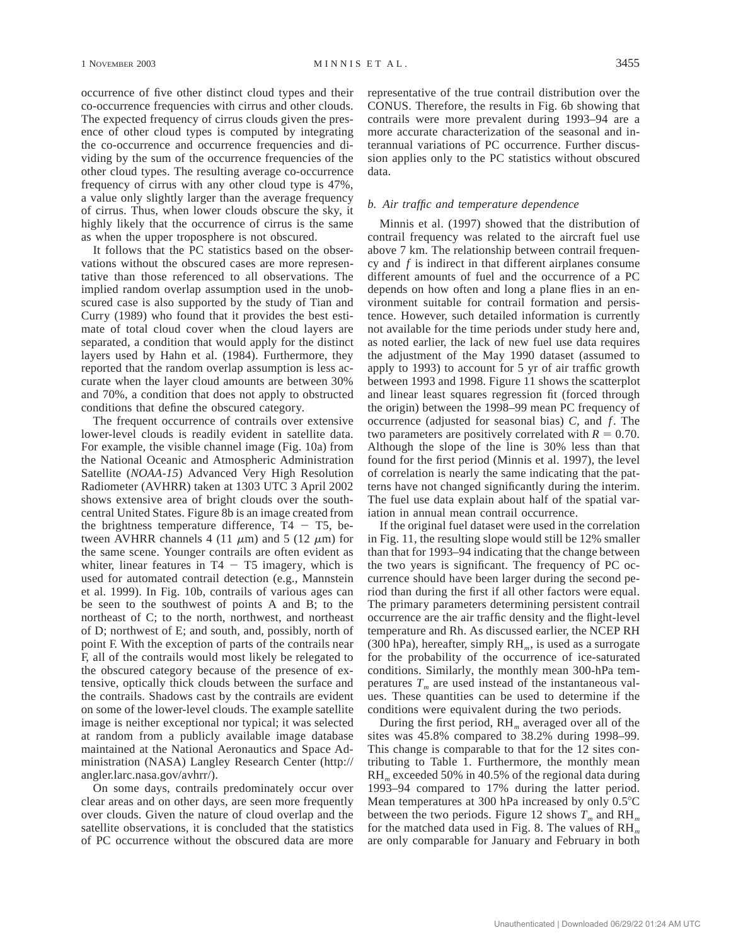occurrence of five other distinct cloud types and their co-occurrence frequencies with cirrus and other clouds. The expected frequency of cirrus clouds given the presence of other cloud types is computed by integrating the co-occurrence and occurrence frequencies and dividing by the sum of the occurrence frequencies of the other cloud types. The resulting average co-occurrence frequency of cirrus with any other cloud type is 47%, a value only slightly larger than the average frequency of cirrus. Thus, when lower clouds obscure the sky, it highly likely that the occurrence of cirrus is the same as when the upper troposphere is not obscured.

It follows that the PC statistics based on the observations without the obscured cases are more representative than those referenced to all observations. The implied random overlap assumption used in the unobscured case is also supported by the study of Tian and Curry (1989) who found that it provides the best estimate of total cloud cover when the cloud layers are separated, a condition that would apply for the distinct layers used by Hahn et al. (1984). Furthermore, they reported that the random overlap assumption is less accurate when the layer cloud amounts are between 30% and 70%, a condition that does not apply to obstructed conditions that define the obscured category.

The frequent occurrence of contrails over extensive lower-level clouds is readily evident in satellite data. For example, the visible channel image (Fig. 10a) from the National Oceanic and Atmospheric Administration Satellite (*NOAA-15*) Advanced Very High Resolution Radiometer (AVHRR) taken at 1303 UTC 3 April 2002 shows extensive area of bright clouds over the southcentral United States. Figure 8b is an image created from the brightness temperature difference,  $T4 - T5$ , between AVHRR channels 4 (11  $\mu$ m) and 5 (12  $\mu$ m) for the same scene. Younger contrails are often evident as whiter, linear features in  $T4 - T5$  imagery, which is used for automated contrail detection (e.g., Mannstein et al. 1999). In Fig. 10b, contrails of various ages can be seen to the southwest of points A and B; to the northeast of C; to the north, northwest, and northeast of D; northwest of E; and south, and, possibly, north of point F. With the exception of parts of the contrails near F, all of the contrails would most likely be relegated to the obscured category because of the presence of extensive, optically thick clouds between the surface and the contrails. Shadows cast by the contrails are evident on some of the lower-level clouds. The example satellite image is neither exceptional nor typical; it was selected at random from a publicly available image database maintained at the National Aeronautics and Space Administration (NASA) Langley Research Center (http:// angler.larc.nasa.gov/avhrr/).

On some days, contrails predominately occur over clear areas and on other days, are seen more frequently over clouds. Given the nature of cloud overlap and the satellite observations, it is concluded that the statistics of PC occurrence without the obscured data are more representative of the true contrail distribution over the CONUS. Therefore, the results in Fig. 6b showing that contrails were more prevalent during 1993–94 are a more accurate characterization of the seasonal and interannual variations of PC occurrence. Further discussion applies only to the PC statistics without obscured data.

## *b. Air traffic and temperature dependence*

Minnis et al. (1997) showed that the distribution of contrail frequency was related to the aircraft fuel use above 7 km. The relationship between contrail frequency and *f* is indirect in that different airplanes consume different amounts of fuel and the occurrence of a PC depends on how often and long a plane flies in an environment suitable for contrail formation and persistence. However, such detailed information is currently not available for the time periods under study here and, as noted earlier, the lack of new fuel use data requires the adjustment of the May 1990 dataset (assumed to apply to 1993) to account for 5 yr of air traffic growth between 1993 and 1998. Figure 11 shows the scatterplot and linear least squares regression fit (forced through the origin) between the 1998–99 mean PC frequency of occurrence (adjusted for seasonal bias) *C,* and *f*. The two parameters are positively correlated with  $R = 0.70$ . Although the slope of the line is 30% less than that found for the first period (Minnis et al. 1997), the level of correlation is nearly the same indicating that the patterns have not changed significantly during the interim. The fuel use data explain about half of the spatial variation in annual mean contrail occurrence.

If the original fuel dataset were used in the correlation in Fig. 11, the resulting slope would still be 12% smaller than that for 1993–94 indicating that the change between the two years is significant. The frequency of PC occurrence should have been larger during the second period than during the first if all other factors were equal. The primary parameters determining persistent contrail occurrence are the air traffic density and the flight-level temperature and Rh. As discussed earlier, the NCEP RH (300 hPa), hereafter, simply RH*m*, is used as a surrogate for the probability of the occurrence of ice-saturated conditions. Similarly, the monthly mean 300-hPa temperatures  $T_m$  are used instead of the instantaneous values. These quantities can be used to determine if the conditions were equivalent during the two periods.

During the first period, RH*<sup>m</sup>* averaged over all of the sites was 45.8% compared to 38.2% during 1998–99. This change is comparable to that for the 12 sites contributing to Table 1. Furthermore, the monthly mean RH*<sup>m</sup>* exceeded 50% in 40.5% of the regional data during 1993–94 compared to 17% during the latter period. Mean temperatures at 300 hPa increased by only  $0.5^{\circ}$ C between the two periods. Figure 12 shows  $T_m$  and RH<sub>m</sub> for the matched data used in Fig. 8. The values of RH*<sup>m</sup>* are only comparable for January and February in both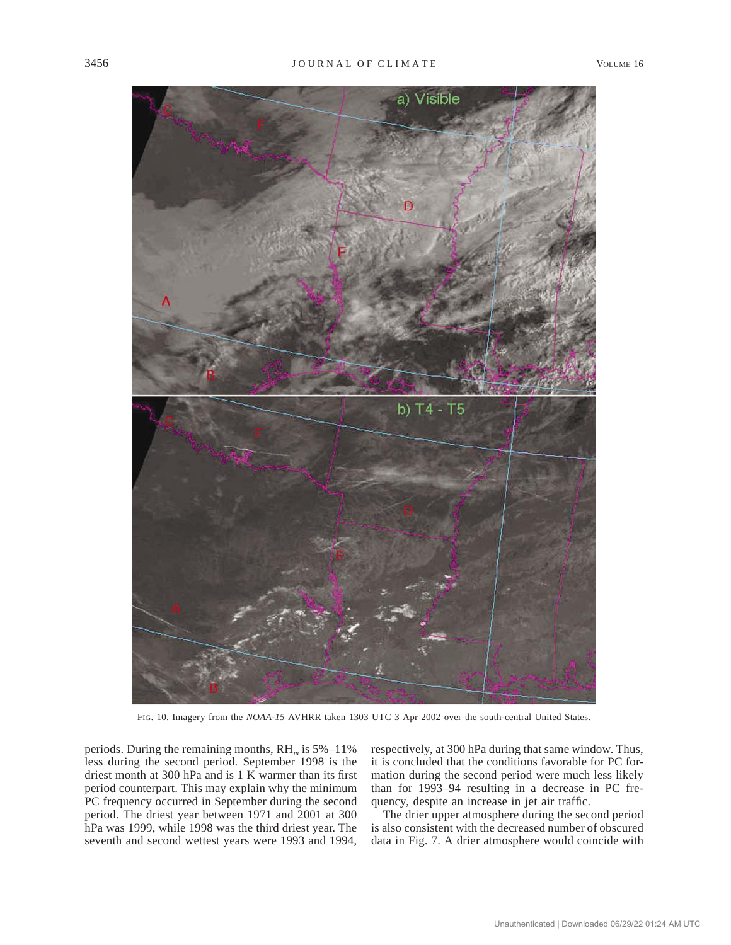

FIG. 10. Imagery from the *NOAA-15* AVHRR taken 1303 UTC 3 Apr 2002 over the south-central United States.

periods. During the remaining months, RH*<sup>m</sup>* is 5%–11% less during the second period. September 1998 is the driest month at 300 hPa and is 1 K warmer than its first period counterpart. This may explain why the minimum PC frequency occurred in September during the second period. The driest year between 1971 and 2001 at 300 hPa was 1999, while 1998 was the third driest year. The seventh and second wettest years were 1993 and 1994, respectively, at 300 hPa during that same window. Thus, it is concluded that the conditions favorable for PC formation during the second period were much less likely than for 1993–94 resulting in a decrease in PC frequency, despite an increase in jet air traffic.

The drier upper atmosphere during the second period is also consistent with the decreased number of obscured data in Fig. 7. A drier atmosphere would coincide with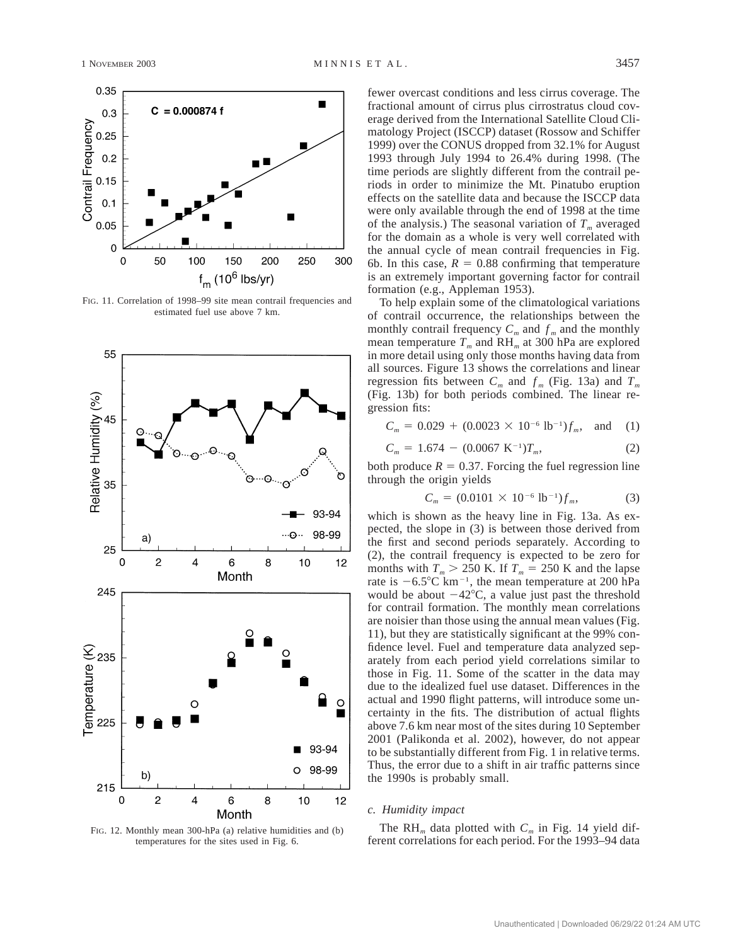

FIG. 11. Correlation of 1998–99 site mean contrail frequencies and estimated fuel use above 7 km.



FIG. 12. Monthly mean 300-hPa (a) relative humidities and (b) temperatures for the sites used in Fig. 6.

fewer overcast conditions and less cirrus coverage. The fractional amount of cirrus plus cirrostratus cloud coverage derived from the International Satellite Cloud Climatology Project (ISCCP) dataset (Rossow and Schiffer 1999) over the CONUS dropped from 32.1% for August 1993 through July 1994 to 26.4% during 1998. (The time periods are slightly different from the contrail periods in order to minimize the Mt. Pinatubo eruption effects on the satellite data and because the ISCCP data were only available through the end of 1998 at the time of the analysis.) The seasonal variation of  $T<sub>m</sub>$  averaged for the domain as a whole is very well correlated with the annual cycle of mean contrail frequencies in Fig. 6b. In this case,  $R = 0.88$  confirming that temperature is an extremely important governing factor for contrail formation (e.g., Appleman 1953).

To help explain some of the climatological variations of contrail occurrence, the relationships between the monthly contrail frequency  $C_m$  and  $f_m$  and the monthly mean temperature  $T_m$  and RH<sub>m</sub> at 300 hPa are explored in more detail using only those months having data from all sources. Figure 13 shows the correlations and linear regression fits between  $C_m$  and  $f_m$  (Fig. 13a) and  $T_m$ (Fig. 13b) for both periods combined. The linear regression fits:

 $C_m = 0.029 + (0.0023 \times 10^{-6} \text{ lb}^{-1})f_m$ , and (1)

$$
C_m = 1.674 - (0.0067 \text{ K}^{-1})T_m, \tag{2}
$$

both produce  $R = 0.37$ . Forcing the fuel regression line through the origin yields

$$
C_m = (0.0101 \times 10^{-6} \text{ lb}^{-1}) f_m, \tag{3}
$$

which is shown as the heavy line in Fig. 13a. As expected, the slope in (3) is between those derived from the first and second periods separately. According to (2), the contrail frequency is expected to be zero for months with  $T_m > 250$  K. If  $T_m = 250$  K and the lapse rate is  $-6.5^{\circ}$ C km<sup>-1</sup>, the mean temperature at 200 hPa would be about  $-42^{\circ}$ C, a value just past the threshold for contrail formation. The monthly mean correlations are noisier than those using the annual mean values (Fig. 11), but they are statistically significant at the 99% confidence level. Fuel and temperature data analyzed separately from each period yield correlations similar to those in Fig. 11. Some of the scatter in the data may due to the idealized fuel use dataset. Differences in the actual and 1990 flight patterns, will introduce some uncertainty in the fits. The distribution of actual flights above 7.6 km near most of the sites during 10 September 2001 (Palikonda et al. 2002), however, do not appear to be substantially different from Fig. 1 in relative terms. Thus, the error due to a shift in air traffic patterns since the 1990s is probably small.

### *c. Humidity impact*

The RH<sub>m</sub> data plotted with  $C_m$  in Fig. 14 yield different correlations for each period. For the 1993–94 data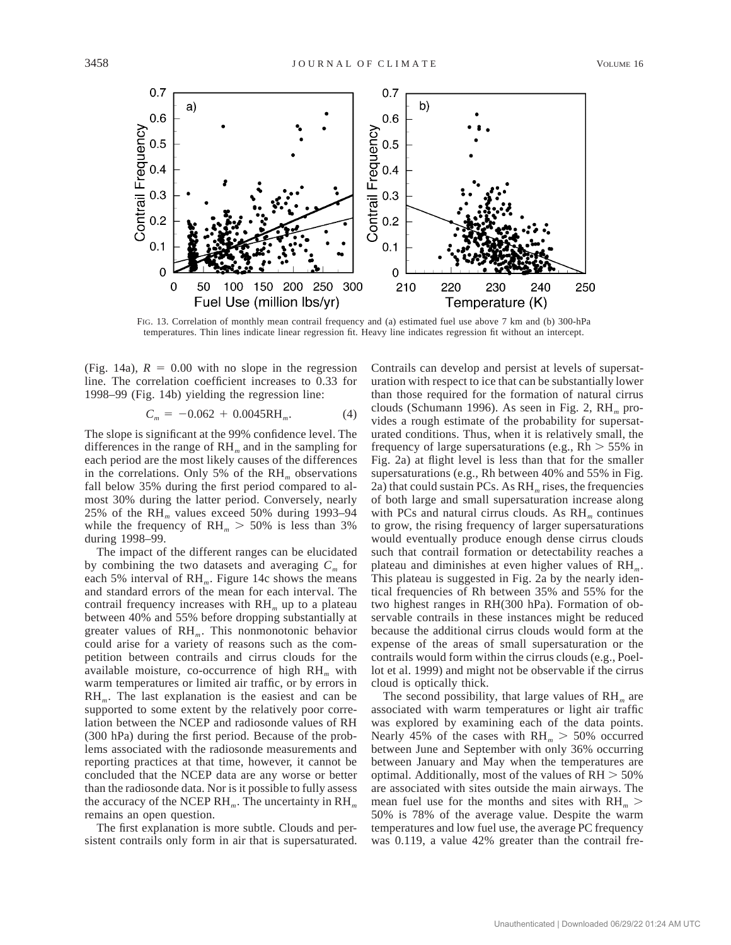

FIG. 13. Correlation of monthly mean contrail frequency and (a) estimated fuel use above 7 km and (b) 300-hPa temperatures. Thin lines indicate linear regression fit. Heavy line indicates regression fit without an intercept.

(Fig. 14a),  $R = 0.00$  with no slope in the regression line. The correlation coefficient increases to 0.33 for 1998–99 (Fig. 14b) yielding the regression line:

$$
C_m = -0.062 + 0.0045 \text{RH}_m. \tag{4}
$$

The slope is significant at the 99% confidence level. The differences in the range of RH*<sup>m</sup>* and in the sampling for each period are the most likely causes of the differences in the correlations. Only 5% of the RH*<sup>m</sup>* observations fall below 35% during the first period compared to almost 30% during the latter period. Conversely, nearly 25% of the RH*<sup>m</sup>* values exceed 50% during 1993–94 while the frequency of  $RH_m > 50\%$  is less than 3% during 1998–99.

The impact of the different ranges can be elucidated by combining the two datasets and averaging  $C_m$  for each 5% interval of RH*m*. Figure 14c shows the means and standard errors of the mean for each interval. The contrail frequency increases with RH<sub>m</sub> up to a plateau between 40% and 55% before dropping substantially at greater values of RH*m*. This nonmonotonic behavior could arise for a variety of reasons such as the competition between contrails and cirrus clouds for the available moisture, co-occurrence of high RH*<sup>m</sup>* with warm temperatures or limited air traffic, or by errors in RH*m*. The last explanation is the easiest and can be supported to some extent by the relatively poor correlation between the NCEP and radiosonde values of RH (300 hPa) during the first period. Because of the problems associated with the radiosonde measurements and reporting practices at that time, however, it cannot be concluded that the NCEP data are any worse or better than the radiosonde data. Nor is it possible to fully assess the accuracy of the NCEP RH*m*. The uncertainty in RH*<sup>m</sup>* remains an open question.

The first explanation is more subtle. Clouds and persistent contrails only form in air that is supersaturated.

Contrails can develop and persist at levels of supersaturation with respect to ice that can be substantially lower than those required for the formation of natural cirrus clouds (Schumann 1996). As seen in Fig. 2, RH<sub>m</sub> provides a rough estimate of the probability for supersaturated conditions. Thus, when it is relatively small, the frequency of large supersaturations (e.g.,  $Rh > 55\%$  in Fig. 2a) at flight level is less than that for the smaller supersaturations (e.g., Rh between 40% and 55% in Fig. 2a) that could sustain PCs. As RH*<sup>m</sup>* rises, the frequencies of both large and small supersaturation increase along with PCs and natural cirrus clouds. As RH<sub>m</sub> continues to grow, the rising frequency of larger supersaturations would eventually produce enough dense cirrus clouds such that contrail formation or detectability reaches a plateau and diminishes at even higher values of RH*m*. This plateau is suggested in Fig. 2a by the nearly identical frequencies of Rh between 35% and 55% for the two highest ranges in RH(300 hPa). Formation of observable contrails in these instances might be reduced because the additional cirrus clouds would form at the expense of the areas of small supersaturation or the contrails would form within the cirrus clouds (e.g., Poellot et al. 1999) and might not be observable if the cirrus cloud is optically thick.

The second possibility, that large values of RH*<sup>m</sup>* are associated with warm temperatures or light air traffic was explored by examining each of the data points. Nearly 45% of the cases with  $RH_m > 50\%$  occurred between June and September with only 36% occurring between January and May when the temperatures are optimal. Additionally, most of the values of  $RH > 50\%$ are associated with sites outside the main airways. The mean fuel use for the months and sites with  $RH_m$  > 50% is 78% of the average value. Despite the warm temperatures and low fuel use, the average PC frequency was 0.119, a value 42% greater than the contrail fre-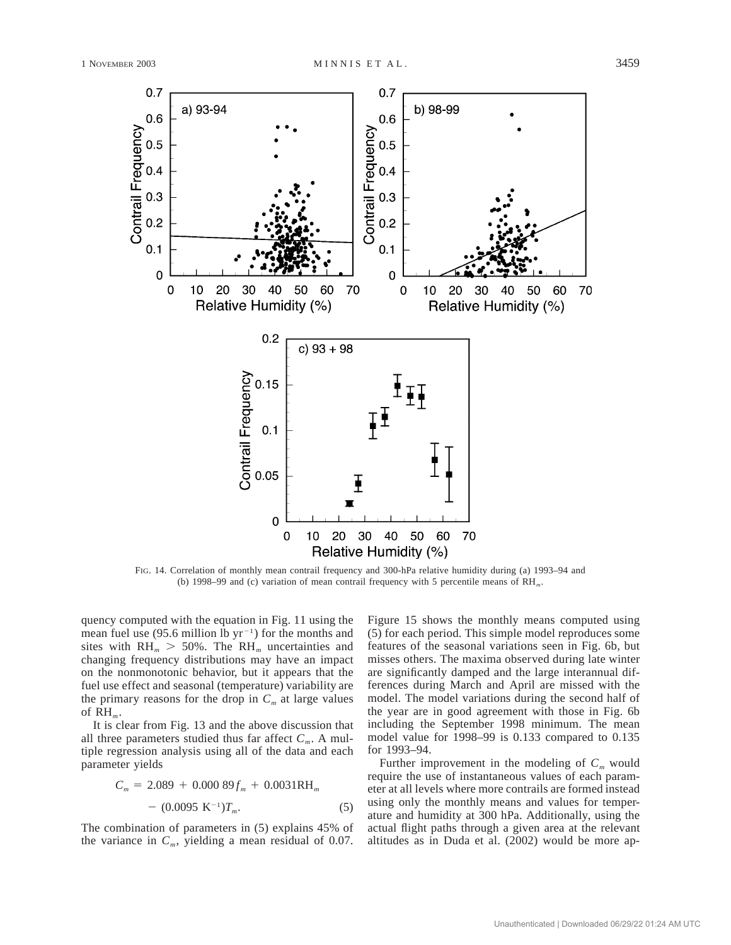

FIG. 14. Correlation of monthly mean contrail frequency and 300-hPa relative humidity during (a) 1993–94 and (b) 1998–99 and (c) variation of mean contrail frequency with 5 percentile means of RH*m*.

quency computed with the equation in Fig. 11 using the mean fuel use (95.6 million lb  $yr^{-1}$ ) for the months and sites with  $RH_m > 50\%$ . The RH<sub>m</sub> uncertainties and changing frequency distributions may have an impact on the nonmonotonic behavior, but it appears that the fuel use effect and seasonal (temperature) variability are the primary reasons for the drop in  $C_m$  at large values of RH*m*.

It is clear from Fig. 13 and the above discussion that all three parameters studied thus far affect  $C_m$ . A multiple regression analysis using all of the data and each parameter yields

$$
C_m = 2.089 + 0.00089 f_m + 0.0031 \text{RH}_m
$$
  
- (0.0095 K<sup>-1</sup>) $T_m$ . (5)

The combination of parameters in (5) explains 45% of the variance in  $C_m$ , yielding a mean residual of 0.07.

Figure 15 shows the monthly means computed using (5) for each period. This simple model reproduces some features of the seasonal variations seen in Fig. 6b, but misses others. The maxima observed during late winter are significantly damped and the large interannual differences during March and April are missed with the model. The model variations during the second half of the year are in good agreement with those in Fig. 6b including the September 1998 minimum. The mean model value for 1998–99 is 0.133 compared to 0.135 for 1993–94.

Further improvement in the modeling of  $C_m$  would require the use of instantaneous values of each parameter at all levels where more contrails are formed instead using only the monthly means and values for temperature and humidity at 300 hPa. Additionally, using the actual flight paths through a given area at the relevant altitudes as in Duda et al. (2002) would be more ap-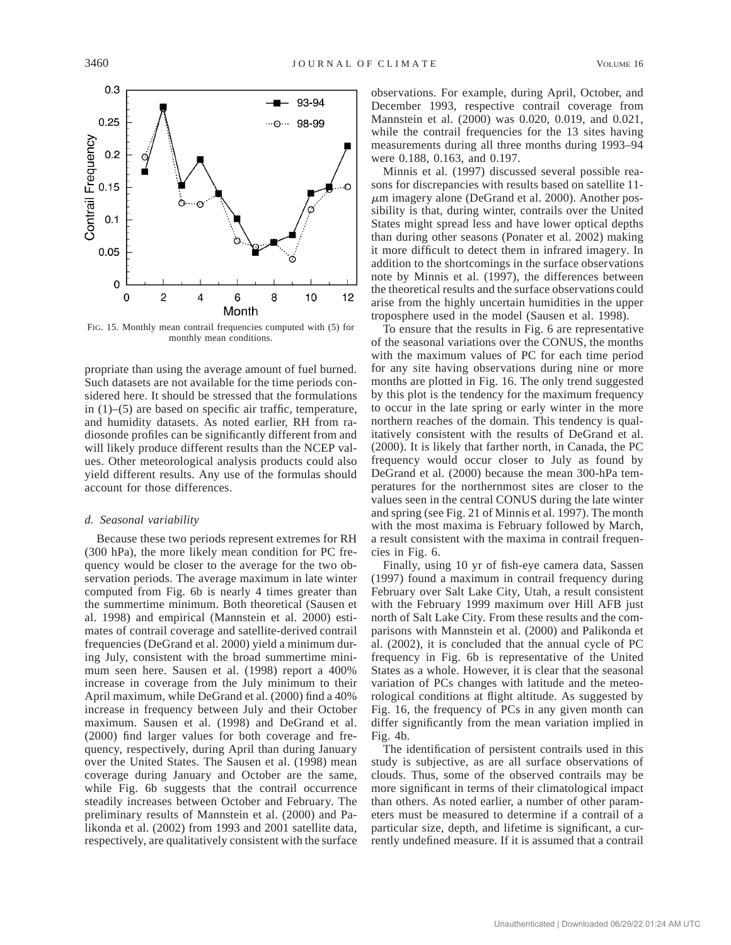

FIG. 15. Monthly mean contrail frequencies computed with (5) for monthly mean conditions.

propriate than using the average amount of fuel burned. Such datasets are not available for the time periods considered here. It should be stressed that the formulations in (1)–(5) are based on specific air traffic, temperature, and humidity datasets. As noted earlier, RH from radiosonde profiles can be significantly different from and will likely produce different results than the NCEP values. Other meteorological analysis products could also yield different results. Any use of the formulas should account for those differences.

### *d. Seasonal variability*

Because these two periods represent extremes for RH (300 hPa), the more likely mean condition for PC frequency would be closer to the average for the two observation periods. The average maximum in late winter computed from Fig. 6b is nearly 4 times greater than the summertime minimum. Both theoretical (Sausen et al. 1998) and empirical (Mannstein et al. 2000) estimates of contrail coverage and satellite-derived contrail frequencies (DeGrand et al. 2000) yield a minimum during July, consistent with the broad summertime minimum seen here. Sausen et al. (1998) report a 400% increase in coverage from the July minimum to their April maximum, while DeGrand et al. (2000) find a 40% increase in frequency between July and their October maximum. Sausen et al. (1998) and DeGrand et al. (2000) find larger values for both coverage and frequency, respectively, during April than during January over the United States. The Sausen et al. (1998) mean coverage during January and October are the same, while Fig. 6b suggests that the contrail occurrence steadily increases between October and February. The preliminary results of Mannstein et al. (2000) and Palikonda et al. (2002) from 1993 and 2001 satellite data, respectively, are qualitatively consistent with the surface observations. For example, during April, October, and December 1993, respective contrail coverage from Mannstein et al. (2000) was 0.020, 0.019, and 0.021, while the contrail frequencies for the 13 sites having measurements during all three months during 1993–94 were 0.188, 0.163, and 0.197.

Minnis et al. (1997) discussed several possible reasons for discrepancies with results based on satellite 11-  $\mu$ m imagery alone (DeGrand et al. 2000). Another possibility is that, during winter, contrails over the United States might spread less and have lower optical depths than during other seasons (Ponater et al. 2002) making it more difficult to detect them in infrared imagery. In addition to the shortcomings in the surface observations note by Minnis et al. (1997), the differences between the theoretical results and the surface observations could arise from the highly uncertain humidities in the upper troposphere used in the model (Sausen et al. 1998).

To ensure that the results in Fig. 6 are representative of the seasonal variations over the CONUS, the months with the maximum values of PC for each time period for any site having observations during nine or more months are plotted in Fig. 16. The only trend suggested by this plot is the tendency for the maximum frequency to occur in the late spring or early winter in the more northern reaches of the domain. This tendency is qualitatively consistent with the results of DeGrand et al. (2000). It is likely that farther north, in Canada, the PC frequency would occur closer to July as found by DeGrand et al. (2000) because the mean 300-hPa temperatures for the northernmost sites are closer to the values seen in the central CONUS during the late winter and spring (see Fig. 21 of Minnis et al. 1997). The month with the most maxima is February followed by March, a result consistent with the maxima in contrail frequencies in Fig. 6.

Finally, using 10 yr of fish-eye camera data, Sassen (1997) found a maximum in contrail frequency during February over Salt Lake City, Utah, a result consistent with the February 1999 maximum over Hill AFB just north of Salt Lake City. From these results and the comparisons with Mannstein et al. (2000) and Palikonda et al. (2002), it is concluded that the annual cycle of PC frequency in Fig. 6b is representative of the United States as a whole. However, it is clear that the seasonal variation of PCs changes with latitude and the meteorological conditions at flight altitude. As suggested by Fig. 16, the frequency of PCs in any given month can differ significantly from the mean variation implied in Fig. 4b.

The identification of persistent contrails used in this study is subjective, as are all surface observations of clouds. Thus, some of the observed contrails may be more significant in terms of their climatological impact than others. As noted earlier, a number of other parameters must be measured to determine if a contrail of a particular size, depth, and lifetime is significant, a currently undefined measure. If it is assumed that a contrail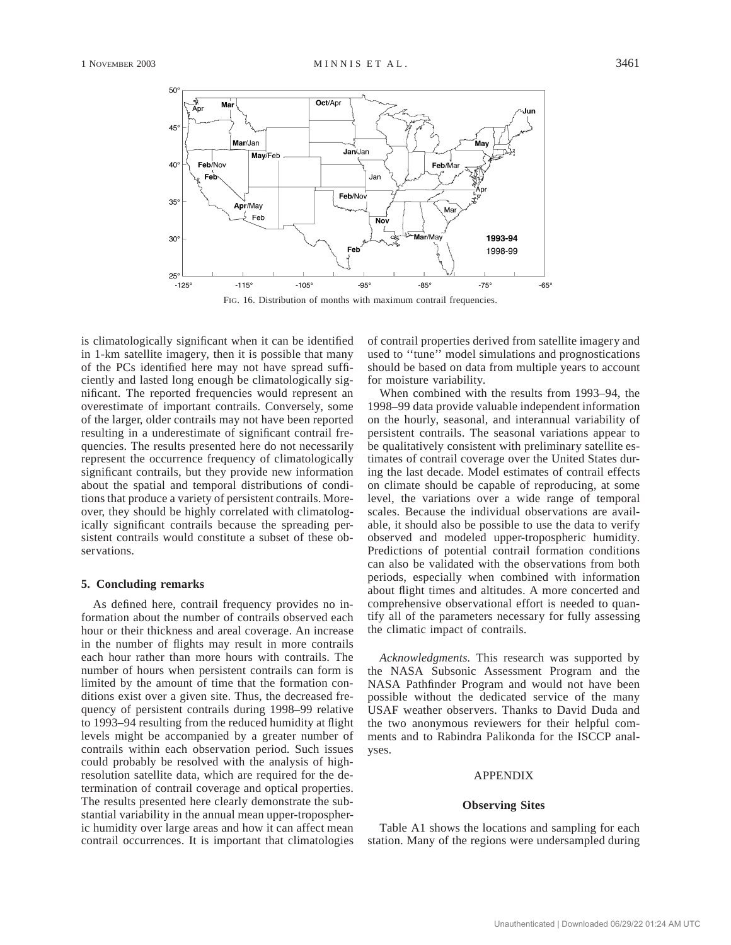

is climatologically significant when it can be identified in 1-km satellite imagery, then it is possible that many of the PCs identified here may not have spread sufficiently and lasted long enough be climatologically significant. The reported frequencies would represent an overestimate of important contrails. Conversely, some of the larger, older contrails may not have been reported resulting in a underestimate of significant contrail frequencies. The results presented here do not necessarily represent the occurrence frequency of climatologically significant contrails, but they provide new information about the spatial and temporal distributions of conditions that produce a variety of persistent contrails. Moreover, they should be highly correlated with climatologically significant contrails because the spreading persistent contrails would constitute a subset of these observations.

### **5. Concluding remarks**

As defined here, contrail frequency provides no information about the number of contrails observed each hour or their thickness and areal coverage. An increase in the number of flights may result in more contrails each hour rather than more hours with contrails. The number of hours when persistent contrails can form is limited by the amount of time that the formation conditions exist over a given site. Thus, the decreased frequency of persistent contrails during 1998–99 relative to 1993–94 resulting from the reduced humidity at flight levels might be accompanied by a greater number of contrails within each observation period. Such issues could probably be resolved with the analysis of highresolution satellite data, which are required for the determination of contrail coverage and optical properties. The results presented here clearly demonstrate the substantial variability in the annual mean upper-tropospheric humidity over large areas and how it can affect mean contrail occurrences. It is important that climatologies of contrail properties derived from satellite imagery and used to ''tune'' model simulations and prognostications should be based on data from multiple years to account for moisture variability.

When combined with the results from 1993–94, the 1998–99 data provide valuable independent information on the hourly, seasonal, and interannual variability of persistent contrails. The seasonal variations appear to be qualitatively consistent with preliminary satellite estimates of contrail coverage over the United States during the last decade. Model estimates of contrail effects on climate should be capable of reproducing, at some level, the variations over a wide range of temporal scales. Because the individual observations are available, it should also be possible to use the data to verify observed and modeled upper-tropospheric humidity. Predictions of potential contrail formation conditions can also be validated with the observations from both periods, especially when combined with information about flight times and altitudes. A more concerted and comprehensive observational effort is needed to quantify all of the parameters necessary for fully assessing the climatic impact of contrails.

*Acknowledgments.* This research was supported by the NASA Subsonic Assessment Program and the NASA Pathfinder Program and would not have been possible without the dedicated service of the many USAF weather observers. Thanks to David Duda and the two anonymous reviewers for their helpful comments and to Rabindra Palikonda for the ISCCP analyses.

## APPENDIX

### **Observing Sites**

Table A1 shows the locations and sampling for each station. Many of the regions were undersampled during